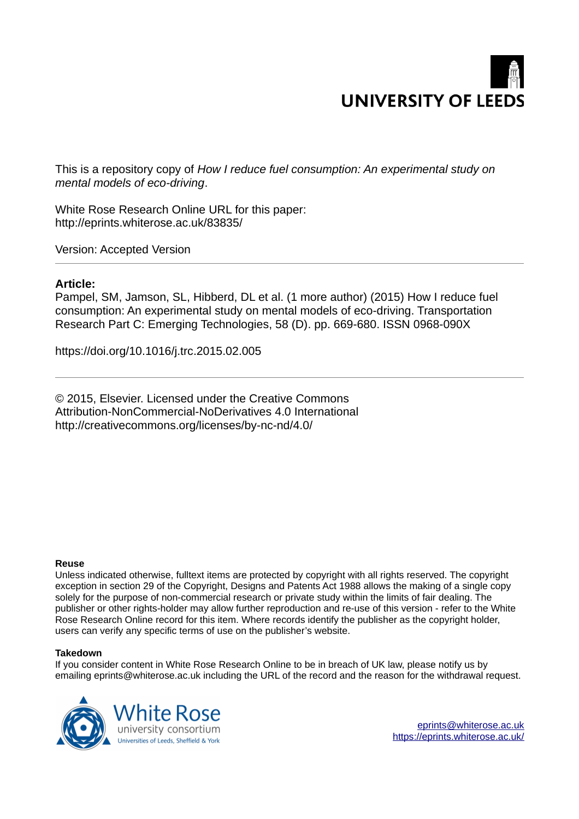

This is a repository copy of *How I reduce fuel consumption: An experimental study on mental models of eco-driving*.

White Rose Research Online URL for this paper: http://eprints.whiterose.ac.uk/83835/

Version: Accepted Version

### **Article:**

Pampel, SM, Jamson, SL, Hibberd, DL et al. (1 more author) (2015) How I reduce fuel consumption: An experimental study on mental models of eco-driving. Transportation Research Part C: Emerging Technologies, 58 (D). pp. 669-680. ISSN 0968-090X

https://doi.org/10.1016/j.trc.2015.02.005

© 2015, Elsevier. Licensed under the Creative Commons Attribution-NonCommercial-NoDerivatives 4.0 International http://creativecommons.org/licenses/by-nc-nd/4.0/

#### **Reuse**

Unless indicated otherwise, fulltext items are protected by copyright with all rights reserved. The copyright exception in section 29 of the Copyright, Designs and Patents Act 1988 allows the making of a single copy solely for the purpose of non-commercial research or private study within the limits of fair dealing. The publisher or other rights-holder may allow further reproduction and re-use of this version - refer to the White Rose Research Online record for this item. Where records identify the publisher as the copyright holder, users can verify any specific terms of use on the publisher's website.

#### **Takedown**

If you consider content in White Rose Research Online to be in breach of UK law, please notify us by emailing eprints@whiterose.ac.uk including the URL of the record and the reason for the withdrawal request.

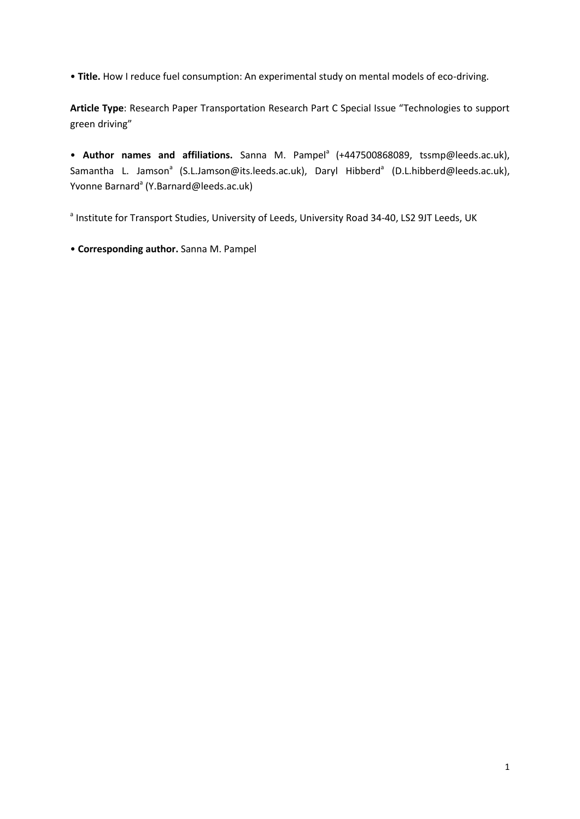**• Title.** How I reduce fuel consumption: An experimental study on mental models of eco-driving.

Article Type: Research Paper Transportation Research Part C Special Issue "Technologies to support green driving"

• Author names and affiliations. Sanna M. Pampel<sup>a</sup> (+447500868089, tssmp@leeds.ac.uk), Samantha L. Jamson<sup>a</sup> (S.L.Jamson@its.leeds.ac.uk), Daryl Hibberd<sup>a</sup> (D.L.hibberd@leeds.ac.uk), Yvonne Barnard<sup>a</sup> (Y.Barnard@leeds.ac.uk)

<sup>a</sup> Institute for Transport Studies, University of Leeds, University Road 34-40, LS2 9JT Leeds, UK

**• Corresponding author.** Sanna M. Pampel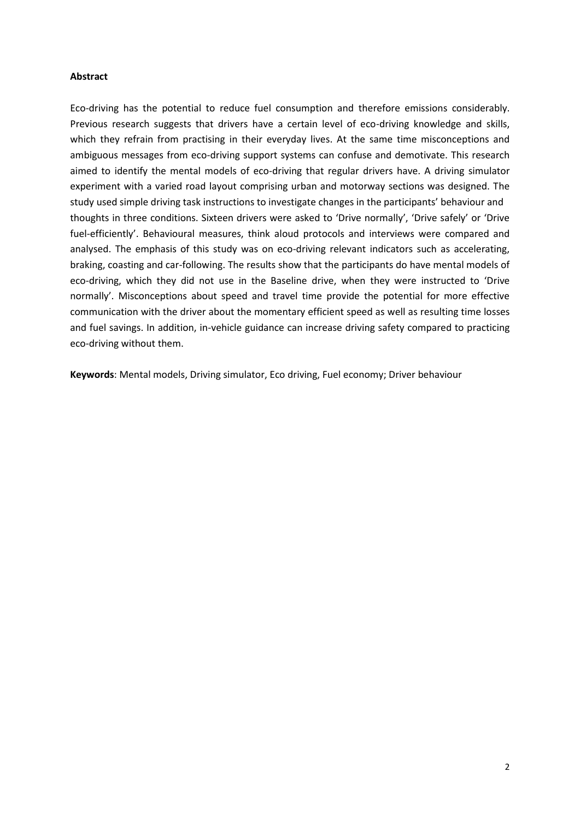#### **Abstract**

Eco-driving has the potential to reduce fuel consumption and therefore emissions considerably. Previous research suggests that drivers have a certain level of eco-driving knowledge and skills, which they refrain from practising in their everyday lives. At the same time misconceptions and ambiguous messages from eco-driving support systems can confuse and demotivate. This research aimed to identify the mental models of eco-driving that regular drivers have. A driving simulator experiment with a varied road layout comprising urban and motorway sections was designed. The study used simple driving task instructions to investigate changes in the participants' behaviour and thoughts in three conditions. Sixteen drivers were asked to 'Drive normally', 'Drive safely' or 'Drive fuel-efficiently'. Behavioural measures, think aloud protocols and interviews were compared and analysed. The emphasis of this study was on eco-driving relevant indicators such as accelerating, braking, coasting and car-following. The results show that the participants do have mental models of eco-driving, which they did not use in the Baseline drive, when they were instructed to 'Drive normally'. Misconceptions about speed and travel time provide the potential for more effective communication with the driver about the momentary efficient speed as well as resulting time losses and fuel savings. In addition, in-vehicle guidance can increase driving safety compared to practicing eco-driving without them.

**Keywords**: Mental models, Driving simulator, Eco driving, Fuel economy; Driver behaviour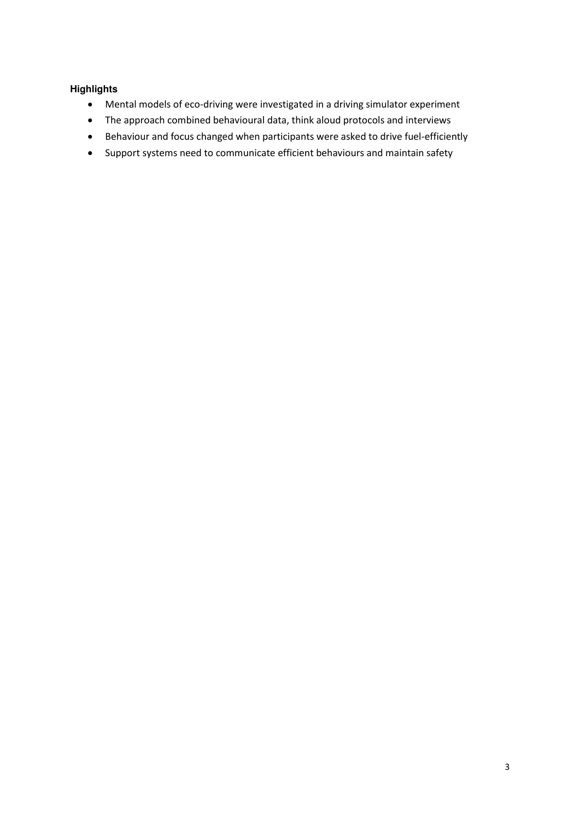### **Highlights**

- Mental models of eco-driving were investigated in a driving simulator experiment
- The approach combined behavioural data, think aloud protocols and interviews
- Behaviour and focus changed when participants were asked to drive fuel-efficiently
- Support systems need to communicate efficient behaviours and maintain safety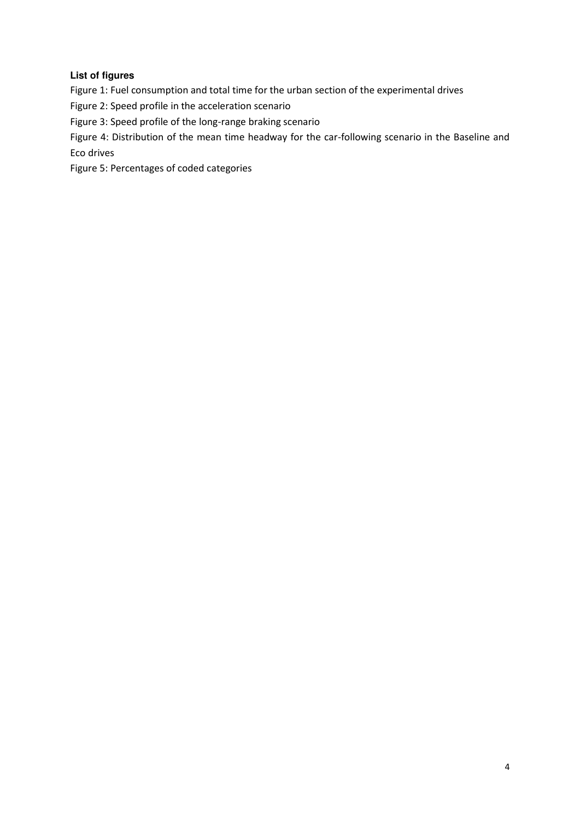## **List of figures**

Figure 1: Fuel consumption and total time for the urban section of the experimental drives

Figure 2: Speed profile in the acceleration scenario

Figure 3: Speed profile of the long-range braking scenario

Figure 4: Distribution of the mean time headway for the car-following scenario in the Baseline and Eco drives

Figure 5: Percentages of coded categories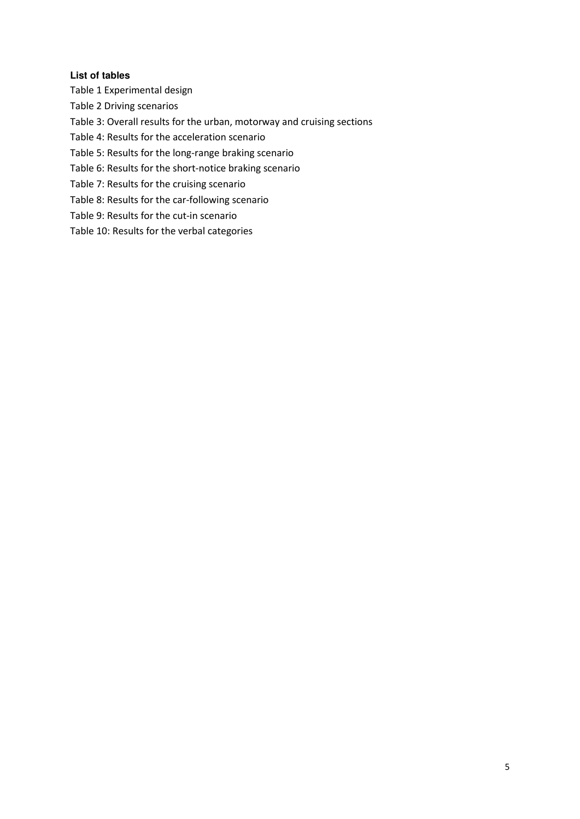### **List of tables**

Table 1 Experimental design Table 2 Driving scenarios Table 3: Overall results for the urban, motorway and cruising sections Table 4: Results for the acceleration scenario Table 5: Results for the long-range braking scenario Table 6: Results for the short-notice braking scenario Table 7: Results for the cruising scenario Table 8: Results for the car-following scenario Table 9: Results for the cut-in scenario Table 10: Results for the verbal categories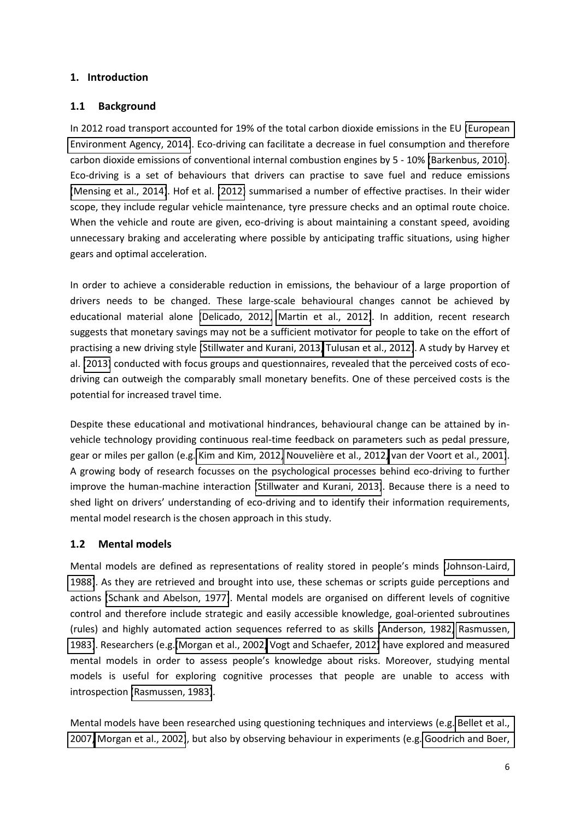## **1. Introduction**

## **1.1 Background**

In 2012 road transport accounted for 19% of the total carbon dioxide emissions in the EU [\(European](#page-21-0)  [Environment Agency, 2014\)](#page-21-0). Eco-driving can facilitate a decrease in fuel consumption and therefore carbon dioxide emissions of conventional internal combustion engines by 5 - 10% [\(Barkenbus, 2010\)](#page-20-0). Eco-driving is a set of behaviours that drivers can practise to save fuel and reduce emissions [\(Mensing et al., 2014\)](#page-21-1). Hof et al. [\(2012\)](#page-21-2) summarised a number of effective practises. In their wider scope, they include regular vehicle maintenance, tyre pressure checks and an optimal route choice. When the vehicle and route are given, eco-driving is about maintaining a constant speed, avoiding unnecessary braking and accelerating where possible by anticipating traffic situations, using higher gears and optimal acceleration.

In order to achieve a considerable reduction in emissions, the behaviour of a large proportion of drivers needs to be changed. These large-scale behavioural changes cannot be achieved by educational material alone [\(Delicado, 2012,](#page-20-1) [Martin et al., 2012\)](#page-21-3). In addition, recent research suggests that monetary savings may not be a sufficient motivator for people to take on the effort of practising a new driving style [\(Stillwater and Kurani, 2013,](#page-22-0) [Tulusan et al., 2012\)](#page-22-1). A study by Harvey et al. [\(2013\)](#page-21-4) conducted with focus groups and questionnaires, revealed that the perceived costs of ecodriving can outweigh the comparably small monetary benefits. One of these perceived costs is the potential for increased travel time.

Despite these educational and motivational hindrances, behavioural change can be attained by invehicle technology providing continuous real-time feedback on parameters such as pedal pressure, gear or miles per gallon (e.g. [Kim and Kim, 2012,](#page-21-5) Nouvelière et al., 2012, [van der Voort et al., 2001\)](#page-22-3). A growing body of research focusses on the psychological processes behind eco-driving to further improve the human-machine interaction [\(Stillwater and Kurani, 2013\)](#page-22-0). Because there is a need to shed light on drivers' understanding of eco-driving and to identify their information requirements, mental model research is the chosen approach in this study.

# **1.2 Mental models**

Mental models are defined as representations of reality stored in people's minds (Johnson-Laird, [1988\)](#page-21-6). As they are retrieved and brought into use, these schemas or scripts guide perceptions and actions [\(Schank and Abelson, 1977\)](#page-22-4). Mental models are organised on different levels of cognitive control and therefore include strategic and easily accessible knowledge, goal-oriented subroutines (rules) and highly automated action sequences referred to as skills [\(Anderson, 1982,](#page-20-2) [Rasmussen,](#page-22-5)  [1983\)](#page-22-5). Researchers (e.g.[\(Morgan et al., 2002,](#page-21-7) [Vogt and Schaefer, 2012\)](#page-22-6) have explored and measured mental models in order to assess people's knowledge about risks. Moreover, studying mental models is useful for exploring cognitive processes that people are unable to access with introspection [\(Rasmussen, 1983\)](#page-22-5).

Mental models have been researched using questioning techniques and interviews (e.g. [Bellet et al.,](#page-20-3)  [2007,](#page-20-3) [Morgan et al., 2002\)](#page-21-7), but also by observing behaviour in experiments (e.g. [Goodrich and Boer,](#page-21-8)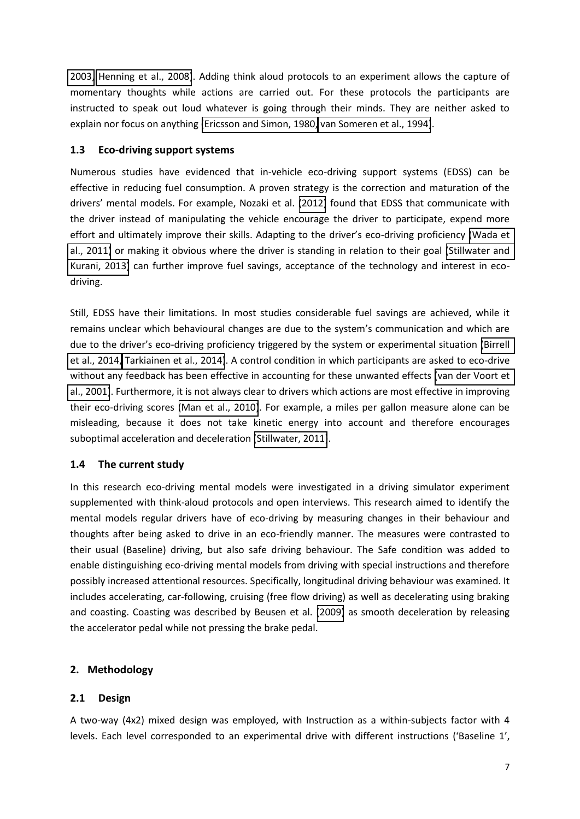[2003,](#page-21-8) [Henning et al., 2008\)](#page-21-9). Adding think aloud protocols to an experiment allows the capture of momentary thoughts while actions are carried out. For these protocols the participants are instructed to speak out loud whatever is going through their minds. They are neither asked to explain nor focus on anything [\(Ericsson and Simon, 1980,](#page-20-4) [van Someren et al., 1994\)](#page-22-7).

## **1.3 Eco-driving support systems**

<span id="page-7-0"></span>Numerous studies have evidenced that in-vehicle eco-driving support systems (EDSS) can be effective in reducing fuel consumption. A proven strategy is the correction and maturation of the drivers' mental models. For example, Nozaki et al. [\(2012\)](#page-22-8) found that EDSS that communicate with the driver instead of manipulating the vehicle encourage the driver to participate, expend more effort and ultimately improve their skills. Adapting to the driver's eco-driving proficiency (Wada et [al., 2011\)](#page-22-9) or making it obvious where the driver is standing in relation to their goal [\(Stillwater and](#page-22-0)  [Kurani, 2013\)](#page-22-0) can further improve fuel savings, acceptance of the technology and interest in ecodriving.

Still, EDSS have their limitations. In most studies considerable fuel savings are achieved, while it remains unclear which behavioural changes are due to the system's communication and which are due to the driver's eco-driving proficiency triggered by the system or experimental situation (Birrell [et al., 2014,](#page-20-5) [Tarkiainen et al., 2014\)](#page-22-10). A control condition in which participants are asked to eco-drive without any feedback has been effective in accounting for these unwanted effects [\(van der Voort et](#page-22-3)  [al., 2001\)](#page-22-3). Furthermore, it is not always clear to drivers which actions are most effective in improving their eco-driving scores [\(Man et al., 2010\)](#page-21-10). For example, a miles per gallon measure alone can be misleading, because it does not take kinetic energy into account and therefore encourages suboptimal acceleration and deceleration [\(Stillwater, 2011\)](#page-22-11).

# **1.4 The current study**

<span id="page-7-1"></span>In this research eco-driving mental models were investigated in a driving simulator experiment supplemented with think-aloud protocols and open interviews. This research aimed to identify the mental models regular drivers have of eco-driving by measuring changes in their behaviour and thoughts after being asked to drive in an eco-friendly manner. The measures were contrasted to their usual (Baseline) driving, but also safe driving behaviour. The Safe condition was added to enable distinguishing eco-driving mental models from driving with special instructions and therefore possibly increased attentional resources. Specifically, longitudinal driving behaviour was examined. It includes accelerating, car-following, cruising (free flow driving) as well as decelerating using braking and coasting. Coasting was described by Beusen et al. [\(2009\)](#page-20-6) as smooth deceleration by releasing the accelerator pedal while not pressing the brake pedal.

# **2. Methodology**

# **2.1 Design**

A two-way (4x2) mixed design was employed, with Instruction as a within-subjects factor with 4 levels. Each level corresponded to an experimental drive with different instructions ('Baseline 1',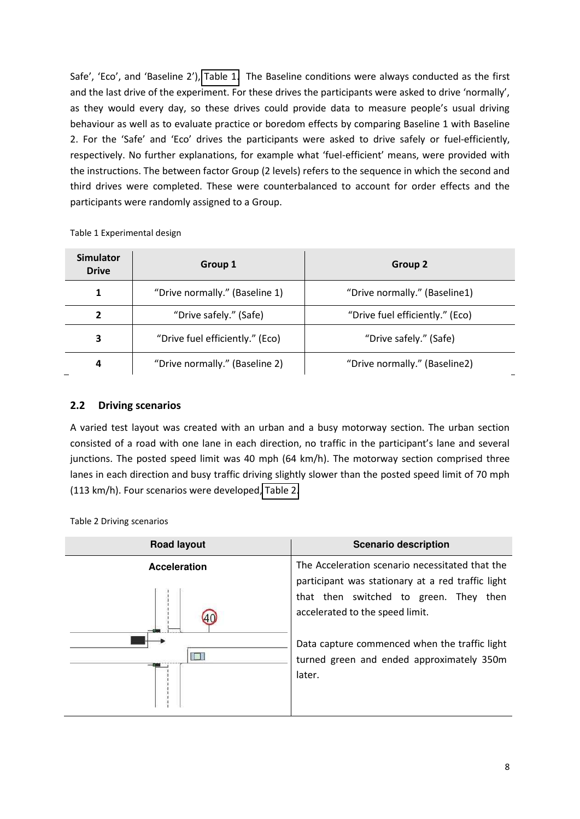Safe', 'Eco', and 'Baseline 2'), [Table 1.](#page-7-0) The Baseline conditions were always conducted as the first and the last drive of the experiment. For these drives the participants were asked to drive 'normally', as they would every day, so these drives could provide data to measure people's usual driving behaviour as well as to evaluate practice or boredom effects by comparing Baseline 1 with Baseline 2. For the 'Safe' and 'Eco' drives the participants were asked to drive safely or fuel-efficiently, respectively. No further explanations, for example what 'fuel-efficient' means, were provided with the instructions. The between factor Group (2 levels) refers to the sequence in which the second and third drives were completed. These were counterbalanced to account for order effects and the participants were randomly assigned to a Group.

| <b>Simulator</b><br><b>Drive</b> | Group 1                         | Group 2                         |
|----------------------------------|---------------------------------|---------------------------------|
|                                  | "Drive normally." (Baseline 1)  | "Drive normally." (Baseline1)   |
| 2                                | "Drive safely." (Safe)          | "Drive fuel efficiently." (Eco) |
| 3                                | "Drive fuel efficiently." (Eco) | "Drive safely." (Safe)          |
| 4                                | "Drive normally." (Baseline 2)  | "Drive normally." (Baseline2)   |

Table 1 Experimental design

#### **2.2 Driving scenarios**

A varied test layout was created with an urban and a busy motorway section. The urban section consisted of a road with one lane in each direction, no traffic in the participant's lane and several junctions. The posted speed limit was 40 mph (64 km/h). The motorway section comprised three lanes in each direction and busy traffic driving slightly slower than the posted speed limit of 70 mph (113 km/h). Four scenarios were developed, [Table 2.](#page-7-1)

Table 2 Driving scenarios

| <b>Road layout</b>  | <b>Scenario description</b>                                                                                                                                                          |  |  |  |  |  |
|---------------------|--------------------------------------------------------------------------------------------------------------------------------------------------------------------------------------|--|--|--|--|--|
| <b>Acceleration</b> | The Acceleration scenario necessitated that the<br>participant was stationary at a red traffic light<br>that then switched to green. They<br>then<br>accelerated to the speed limit. |  |  |  |  |  |
| <b>IES</b>          | Data capture commenced when the traffic light<br>turned green and ended approximately 350m<br>later.                                                                                 |  |  |  |  |  |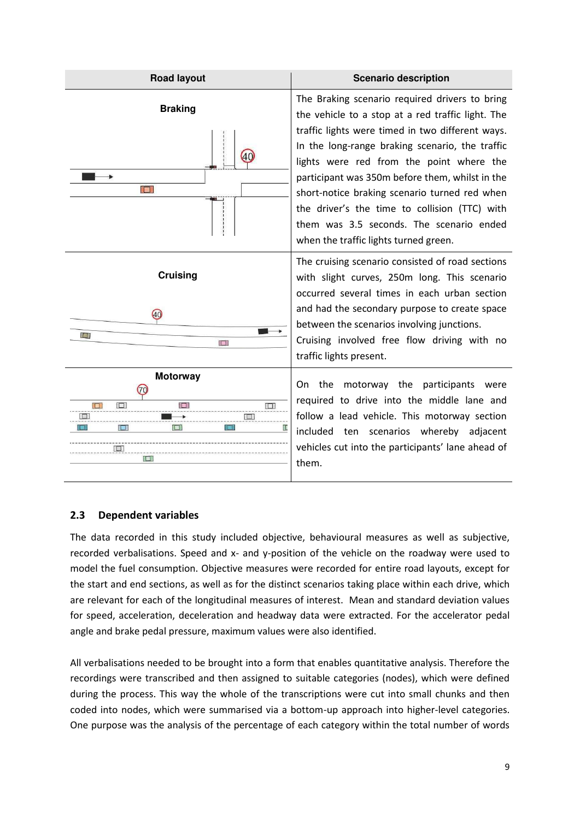| <b>Road layout</b>                                                                                                                   | <b>Scenario description</b>                                                                                                                                                                                                                                                                                                                                                                                                                                                                      |
|--------------------------------------------------------------------------------------------------------------------------------------|--------------------------------------------------------------------------------------------------------------------------------------------------------------------------------------------------------------------------------------------------------------------------------------------------------------------------------------------------------------------------------------------------------------------------------------------------------------------------------------------------|
| <b>Braking</b><br><b>UGIT</b>                                                                                                        | The Braking scenario required drivers to bring<br>the vehicle to a stop at a red traffic light. The<br>traffic lights were timed in two different ways.<br>In the long-range braking scenario, the traffic<br>lights were red from the point where the<br>participant was 350m before them, whilst in the<br>short-notice braking scenario turned red when<br>the driver's the time to collision (TTC) with<br>them was 3.5 seconds. The scenario ended<br>when the traffic lights turned green. |
| <b>Cruising</b><br>40<br>脚<br>ie i                                                                                                   | The cruising scenario consisted of road sections<br>with slight curves, 250m long. This scenario<br>occurred several times in each urban section<br>and had the secondary purpose to create space<br>between the scenarios involving junctions.<br>Cruising involved free flow driving with no<br>traffic lights present.                                                                                                                                                                        |
| <b>Motorway</b><br>(70)<br>T<br>$\Box$<br>$\boxed{\Box}$<br>i i<br>O<br>$\Box$<br>IOI<br>IO<br><u>ا د ا</u><br>١w<br>$\Box$<br>i E i | motorway the participants<br>the<br>On.<br>were<br>required to drive into the middle lane and<br>follow a lead vehicle. This motorway section<br>included<br>ten scenarios whereby<br>adjacent<br>vehicles cut into the participants' lane ahead of<br>them.                                                                                                                                                                                                                                     |

# **2.3 Dependent variables**

The data recorded in this study included objective, behavioural measures as well as subjective, recorded verbalisations. Speed and x- and y-position of the vehicle on the roadway were used to model the fuel consumption. Objective measures were recorded for entire road layouts, except for the start and end sections, as well as for the distinct scenarios taking place within each drive, which are relevant for each of the longitudinal measures of interest. Mean and standard deviation values for speed, acceleration, deceleration and headway data were extracted. For the accelerator pedal angle and brake pedal pressure, maximum values were also identified.

All verbalisations needed to be brought into a form that enables quantitative analysis. Therefore the recordings were transcribed and then assigned to suitable categories (nodes), which were defined during the process. This way the whole of the transcriptions were cut into small chunks and then coded into nodes, which were summarised via a bottom-up approach into higher-level categories. One purpose was the analysis of the percentage of each category within the total number of words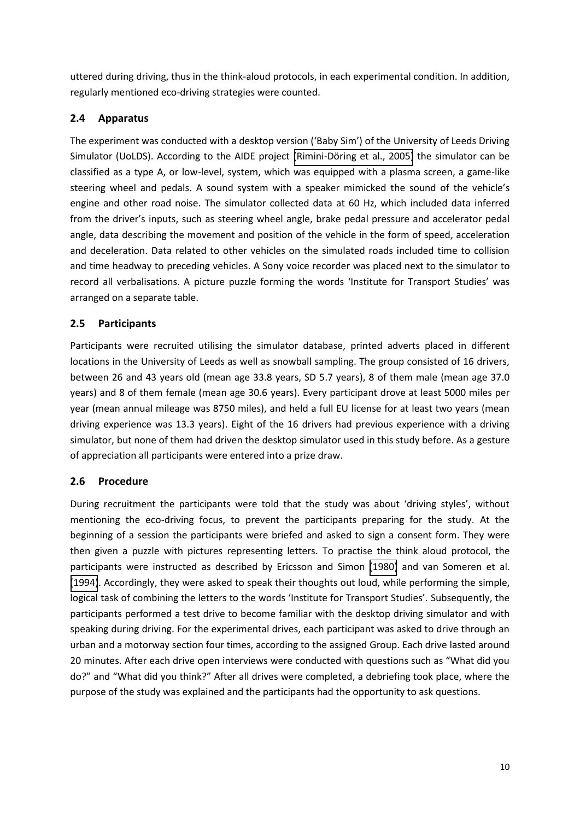uttered during driving, thus in the think-aloud protocols, in each experimental condition. In addition, regularly mentioned eco-driving strategies were counted.

# **2.4 Apparatus**

The experiment was conducted with a desktop version ('Baby Sim') of the University of Leeds Driving Simulator (UoLDS). According to the AIDE project (Rimini-Döring et al., 2005) the simulator can be classified as a type A, or low-level, system, which was equipped with a plasma screen, a game-like steering wheel and pedals. A sound system with a speaker mimicked the sound of the vehicle's engine and other road noise. The simulator collected data at 60 Hz, which included data inferred from the driver's inputs, such as steering wheel angle, brake pedal pressure and accelerator pedal angle, data describing the movement and position of the vehicle in the form of speed, acceleration and deceleration. Data related to other vehicles on the simulated roads included time to collision and time headway to preceding vehicles. A Sony voice recorder was placed next to the simulator to record all verbalisations. A picture puzzle forming the words 'Institute for Transport Studies' was arranged on a separate table.

# **2.5 Participants**

Participants were recruited utilising the simulator database, printed adverts placed in different locations in the University of Leeds as well as snowball sampling. The group consisted of 16 drivers, between 26 and 43 years old (mean age 33.8 years, SD 5.7 years), 8 of them male (mean age 37.0 years) and 8 of them female (mean age 30.6 years). Every participant drove at least 5000 miles per year (mean annual mileage was 8750 miles), and held a full EU license for at least two years (mean driving experience was 13.3 years). Eight of the 16 drivers had previous experience with a driving simulator, but none of them had driven the desktop simulator used in this study before. As a gesture of appreciation all participants were entered into a prize draw.

# **2.6 Procedure**

During recruitment the participants were told that the study was about 'driving styles', without mentioning the eco-driving focus, to prevent the participants preparing for the study. At the beginning of a session the participants were briefed and asked to sign a consent form. They were then given a puzzle with pictures representing letters. To practise the think aloud protocol, the participants were instructed as described by Ericsson and Simon [\(1980\)](#page-20-4) and van Someren et al. [\(1994\)](#page-22-7). Accordingly, they were asked to speak their thoughts out loud, while performing the simple, logical task of combining the letters to the words 'Institute for Transport Studies'. Subsequently, the participants performed a test drive to become familiar with the desktop driving simulator and with speaking during driving. For the experimental drives, each participant was asked to drive through an urban and a motorway section four times, according to the assigned Group. Each drive lasted around 20 minutes. After each drive open interviews were conducted with questions such as "What did you do?" and "What did you think?" After all drives were completed, a debriefing took place, where the purpose of the study was explained and the participants had the opportunity to ask questions.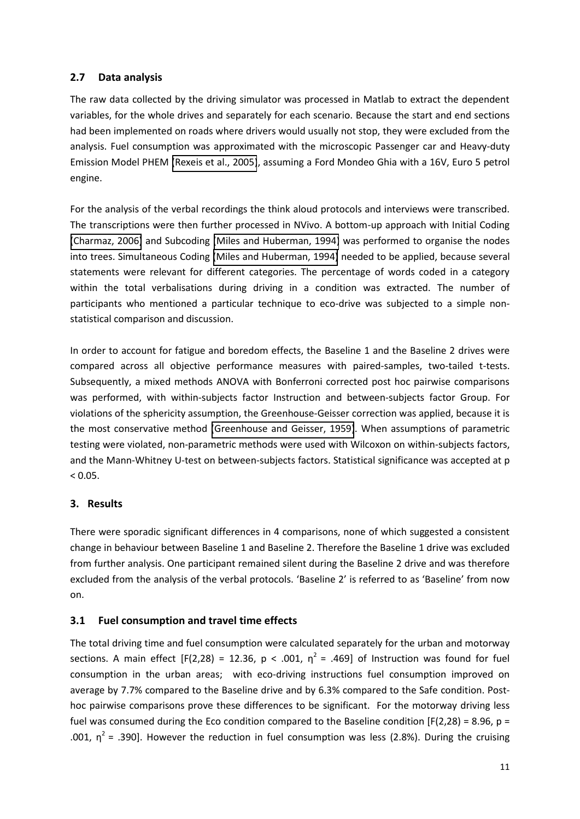# **2.7 Data analysis**

The raw data collected by the driving simulator was processed in Matlab to extract the dependent variables, for the whole drives and separately for each scenario. Because the start and end sections had been implemented on roads where drivers would usually not stop, they were excluded from the analysis. Fuel consumption was approximated with the microscopic Passenger car and Heavy-duty Emission Model PHEM [\(Rexeis et al., 2005\)](#page-22-13), assuming a Ford Mondeo Ghia with a 16V, Euro 5 petrol engine.

For the analysis of the verbal recordings the think aloud protocols and interviews were transcribed. The transcriptions were then further processed in NVivo. A bottom-up approach with Initial Coding [\(Charmaz, 2006\)](#page-20-7) and Subcoding [\(Miles and Huberman, 1994\)](#page-21-11) was performed to organise the nodes into trees. Simultaneous Coding [\(Miles and Huberman, 1994\)](#page-21-11) needed to be applied, because several statements were relevant for different categories. The percentage of words coded in a category within the total verbalisations during driving in a condition was extracted. The number of participants who mentioned a particular technique to eco-drive was subjected to a simple nonstatistical comparison and discussion.

In order to account for fatigue and boredom effects, the Baseline 1 and the Baseline 2 drives were compared across all objective performance measures with paired-samples, two-tailed t-tests. Subsequently, a mixed methods ANOVA with Bonferroni corrected post hoc pairwise comparisons was performed, with within-subjects factor Instruction and between-subjects factor Group. For violations of the sphericity assumption, the Greenhouse-Geisser correction was applied, because it is the most conservative method [\(Greenhouse and Geisser, 1959\)](#page-21-12). When assumptions of parametric testing were violated, non-parametric methods were used with Wilcoxon on within-subjects factors, and the Mann-Whitney U-test on between-subjects factors. Statistical significance was accepted at p  $< 0.05$ .

# <span id="page-11-0"></span>**3. Results**

There were sporadic significant differences in 4 comparisons, none of which suggested a consistent change in behaviour between Baseline 1 and Baseline 2. Therefore the Baseline 1 drive was excluded from further analysis. One participant remained silent during the Baseline 2 drive and was therefore excluded from the analysis of the verbal protocols. 'Baseline 2' is referred to as 'Baseline' from now on.

### **3.1 Fuel consumption and travel time effects**

The total driving time and fuel consumption were calculated separately for the urban and motorway sections. A main effect [F(2,28) = 12.36, p < .001,  $\eta^2$  = .469] of Instruction was found for fuel consumption in the urban areas; with eco-driving instructions fuel consumption improved on average by 7.7% compared to the Baseline drive and by 6.3% compared to the Safe condition. Posthoc pairwise comparisons prove these differences to be significant. For the motorway driving less fuel was consumed during the Eco condition compared to the Baseline condition [F(2,28) = 8.96, p = .001,  $\eta^2$  = .390]. However the reduction in fuel consumption was less (2.8%). During the cruising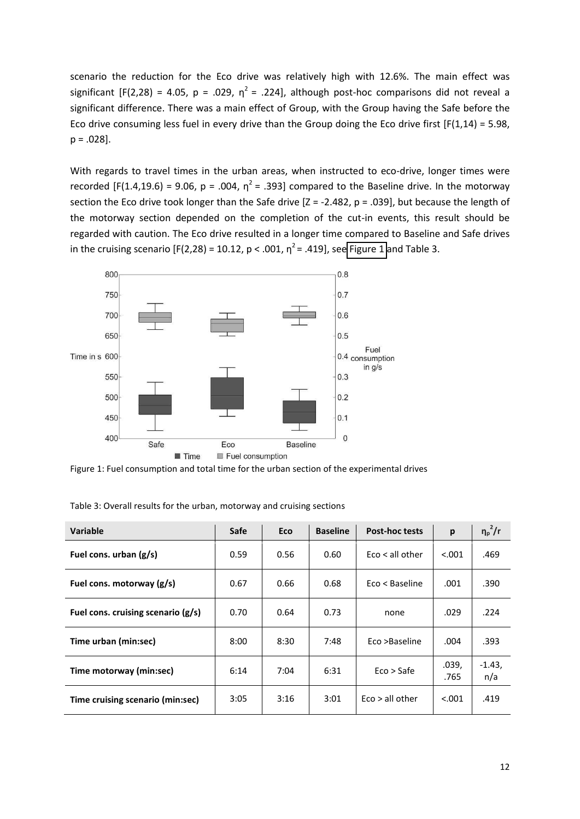scenario the reduction for the Eco drive was relatively high with 12.6%. The main effect was significant [F(2,28) = 4.05, p = .029,  $\eta^2$  = .224], although post-hoc comparisons did not reveal a significant difference. There was a main effect of Group, with the Group having the Safe before the Eco drive consuming less fuel in every drive than the Group doing the Eco drive first  $[F(1,14) = 5.98]$ ,  $p = .028$ ].

With regards to travel times in the urban areas, when instructed to eco-drive, longer times were recorded [F(1.4,19.6) = 9.06, p = .004,  $\eta^2$  = .393] compared to the Baseline drive. In the motorway section the Eco drive took longer than the Safe drive [Z = -2.482, p = .039], but because the length of the motorway section depended on the completion of the cut-in events, this result should be regarded with caution. The Eco drive resulted in a longer time compared to Baseline and Safe drives in the cruising scenario [F(2,28) = 10.12,  $p < .001$ ,  $n^2 = .419$ ], se[e Figure 1](#page-11-0) and Table 3.



Figure 1: Fuel consumption and total time for the urban section of the experimental drives

|  |  |  |  | Table 3: Overall results for the urban, motorway and cruising sections |
|--|--|--|--|------------------------------------------------------------------------|
|--|--|--|--|------------------------------------------------------------------------|

| Variable                           | <b>Safe</b> | <b>Eco</b> | <b>Baseline</b> | <b>Post-hoc tests</b> | p             | $\eta_p^2/r$   |
|------------------------------------|-------------|------------|-----------------|-----------------------|---------------|----------------|
| Fuel cons. urban $(g/s)$           | 0.59        | 0.56       | 0.60            | $E$ co < all other    | < 0.01        | .469           |
| Fuel cons. motorway (g/s)          | 0.67        | 0.66       | 0.68            | Eco < Baseline        | .001          | .390           |
| Fuel cons. cruising scenario (g/s) | 0.70        | 0.64       | 0.73            | none                  | .029          | .224           |
| Time urban (min:sec)               | 8:00        | 8:30       | 7:48            | Eco >Baseline         | .004          | .393           |
| Time motorway (min:sec)            | 6:14        | 7:04       | 6:31            | $ECO >$ Safe          | .039,<br>.765 | $-1.43$<br>n/a |
| Time cruising scenario (min:sec)   | 3:05        | 3:16       | 3:01            | ECO > all other       | < 0.01        | .419           |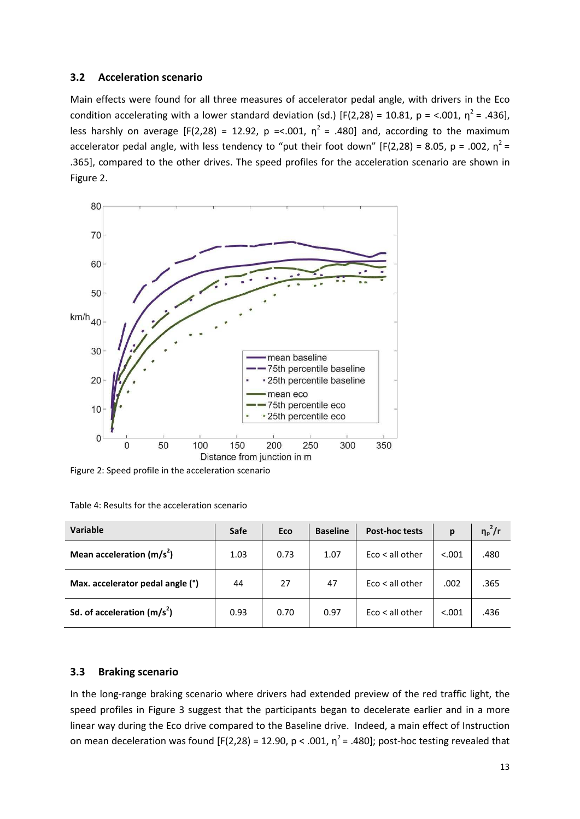#### **3.2 Acceleration scenario**

Main effects were found for all three measures of accelerator pedal angle, with drivers in the Eco condition accelerating with a lower standard deviation (sd.) [F(2,28) = 10.81, p = <.001,  $\eta^2$  = .436], less harshly on average [F(2,28) = 12.92, p = <.001,  $\eta^2$  = .480] and, according to the maximum accelerator pedal angle, with less tendency to "put their foot down" [F(2,28) = 8.05, p = .002,  $\eta^2$  = .365], compared to the other drives. The speed profiles for the acceleration scenario are shown in Figure 2.



Figure 2: Speed profile in the acceleration scenario

| Table 4: Results for the acceleration scenario |  |  |  |
|------------------------------------------------|--|--|--|
|------------------------------------------------|--|--|--|

| Variable                         | <b>Safe</b> | <b>Eco</b> | <b>Baseline</b> | <b>Post-hoc tests</b> | p      | $\eta_p^2/r$ |
|----------------------------------|-------------|------------|-----------------|-----------------------|--------|--------------|
| Mean acceleration $(m/s^2)$      | 1.03        | 0.73       | 1.07            | $Eco$ < all other     | < .001 | .480         |
| Max. accelerator pedal angle (°) | 44          | 27         | 47              | $Eco$ < all other     | .002   | .365         |
| Sd. of acceleration $(m/s^2)$    | 0.93        | 0.70       | 0.97            | $Eco$ < all other     | < .001 | .436         |

#### **3.3 Braking scenario**

In the long-range braking scenario where drivers had extended preview of the red traffic light, the speed profiles in Figure 3 suggest that the participants began to decelerate earlier and in a more linear way during the Eco drive compared to the Baseline drive. Indeed, a main effect of Instruction on mean deceleration was found [F(2,28) = 12.90, p < .001,  $\eta^2$  = .480]; post-hoc testing revealed that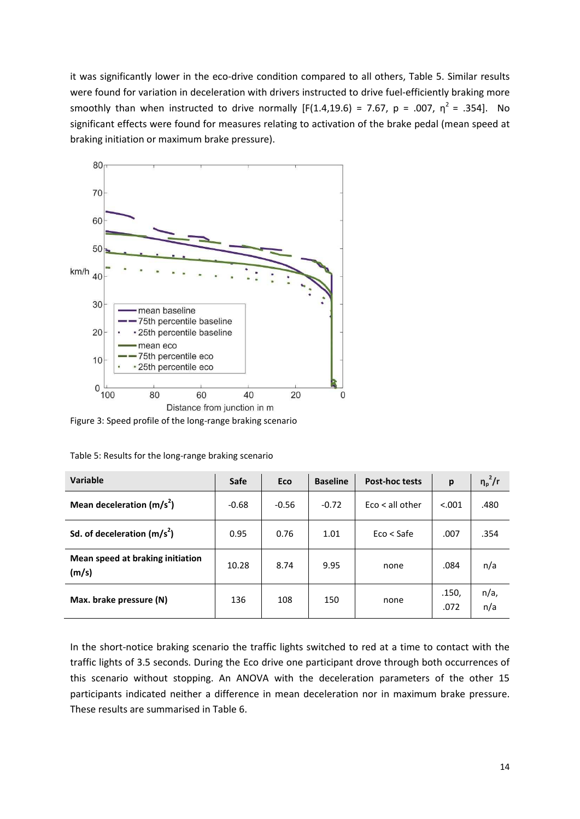it was significantly lower in the eco-drive condition compared to all others, Table 5. Similar results were found for variation in deceleration with drivers instructed to drive fuel-efficiently braking more smoothly than when instructed to drive normally  $[F(1.4,19.6) = 7.67, p = .007, \eta^2 = .354]$ . No significant effects were found for measures relating to activation of the brake pedal (mean speed at braking initiation or maximum brake pressure).



<span id="page-14-0"></span>Figure 3: Speed profile of the long-range braking scenario

| <b>Variable</b>                           | <b>Safe</b> | <b>Eco</b> | <b>Baseline</b> | <b>Post-hoc tests</b> | p             | $\eta_p^2/r$   |
|-------------------------------------------|-------------|------------|-----------------|-----------------------|---------------|----------------|
| Mean deceleration $(m/s^2)$               | $-0.68$     | $-0.56$    | $-0.72$         | $Eco$ < all other     | < 0.001       | .480           |
| Sd. of deceleration $(m/s^2)$             | 0.95        | 0.76       | 1.01            | $ECO <$ Safe          | .007          | .354           |
| Mean speed at braking initiation<br>(m/s) | 10.28       | 8.74       | 9.95            | none                  | .084          | n/a            |
| Max. brake pressure (N)                   | 136         | 108        | 150             | none                  | .150,<br>.072 | $n/a$ ,<br>n/a |

Table 5: Results for the long-range braking scenario

In the short-notice braking scenario the traffic lights switched to red at a time to contact with the traffic lights of 3.5 seconds. During the Eco drive one participant drove through both occurrences of this scenario without stopping. An ANOVA with the deceleration parameters of the other 15 participants indicated neither a difference in mean deceleration nor in maximum brake pressure. These results are summarised in Table 6.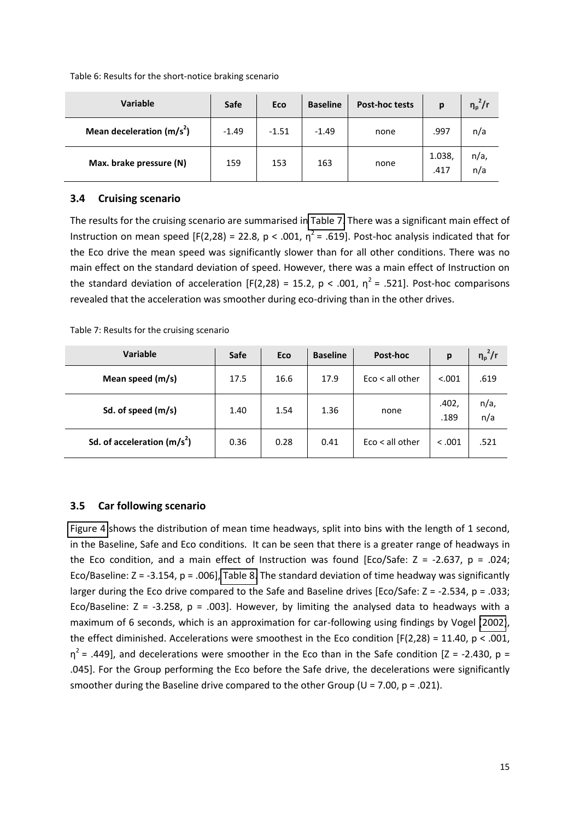Table 6: Results for the short-notice braking scenario

| <b>Variable</b>             | <b>Safe</b> | Eco     | <b>Baseline</b> | <b>Post-hoc tests</b> | p              | $\eta_p^2/r$   |
|-----------------------------|-------------|---------|-----------------|-----------------------|----------------|----------------|
| Mean deceleration $(m/s^2)$ | $-1.49$     | $-1.51$ | $-1.49$         | none                  | .997           | n/a            |
| Max. brake pressure (N)     | 159         | 153     | 163             | none                  | 1.038,<br>.417 | $n/a$ ,<br>n/a |

#### **3.4 Cruising scenario**

<span id="page-15-0"></span>The results for the cruising scenario are summarised in [Table 7.](#page-14-0) There was a significant main effect of Instruction on mean speed [F(2,28) = 22.8, p < .001,  $\eta^2$  = .619]. Post-hoc analysis indicated that for the Eco drive the mean speed was significantly slower than for all other conditions. There was no main effect on the standard deviation of speed. However, there was a main effect of Instruction on the standard deviation of acceleration [F(2,28) = 15.2,  $p < .001$ ,  $n^2 = .521$ ]. Post-hoc comparisons revealed that the acceleration was smoother during eco-driving than in the other drives.

<span id="page-15-1"></span>Table 7: Results for the cruising scenario

| <b>Variable</b>               | <b>Safe</b> | <b>Eco</b> | <b>Baseline</b> | Post-hoc          | p             | $\eta_p^2/r$   |
|-------------------------------|-------------|------------|-----------------|-------------------|---------------|----------------|
| Mean speed $(m/s)$            | 17.5        | 16.6       | 17.9            | $Eco$ < all other | < .001        | .619           |
| Sd. of speed (m/s)            | 1.40        | 1.54       | 1.36            | none              | .402.<br>.189 | $n/a$ ,<br>n/a |
| Sd. of acceleration $(m/s^2)$ | 0.36        | 0.28       | 0.41            | $Eco$ < all other | < .001        | .521           |

#### **3.5 Car following scenario**

<span id="page-15-2"></span>[Figure 4](#page-15-0) shows the distribution of mean time headways, split into bins with the length of 1 second, in the Baseline, Safe and Eco conditions. It can be seen that there is a greater range of headways in the Eco condition, and a main effect of Instruction was found [Eco/Safe:  $Z = -2.637$ ,  $p = .024$ ; Eco/Baseline:  $Z = -3.154$ ,  $p = .006$ , [Table 8.](#page-15-1) The standard deviation of time headway was significantly larger during the Eco drive compared to the Safe and Baseline drives [Eco/Safe: Z = -2.534, p = .033; Eco/Baseline:  $Z = -3.258$ ,  $p = .003$ . However, by limiting the analysed data to headways with a maximum of 6 seconds, which is an approximation for car-following using findings by Vogel [\(2002\)](#page-22-14), the effect diminished. Accelerations were smoothest in the Eco condition  $[F(2,28) = 11.40, p < .001,$  $\eta^2$  = .449], and decelerations were smoother in the Eco than in the Safe condition [Z = -2.430, p = .045]. For the Group performing the Eco before the Safe drive, the decelerations were significantly smoother during the Baseline drive compared to the other Group ( $U = 7.00$ ,  $p = .021$ ).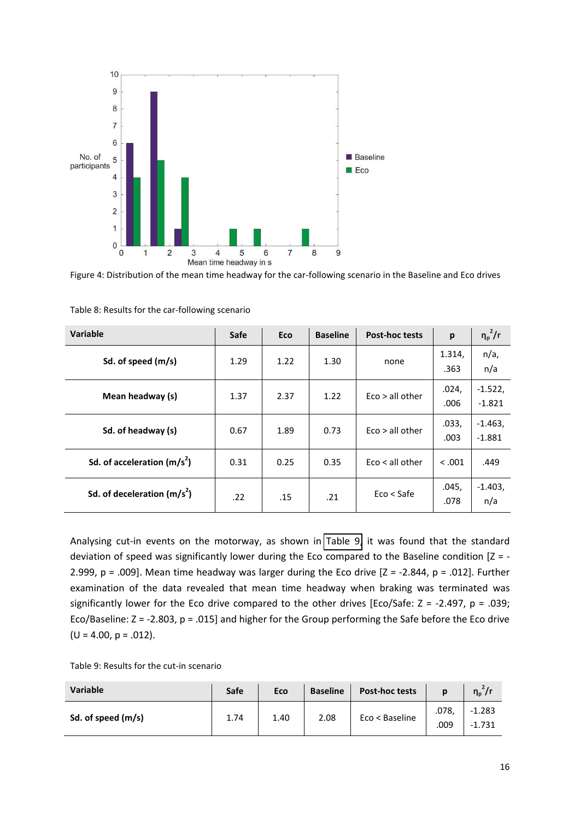

Figure 4: Distribution of the mean time headway for the car-following scenario in the Baseline and Eco drives

| Variable                      | Safe | Eco  | <b>Baseline</b> | Post-hoc tests    | p              | $\eta_p^2/r$          |
|-------------------------------|------|------|-----------------|-------------------|----------------|-----------------------|
| Sd. of speed (m/s)            | 1.29 | 1.22 | 1.30            | none              | 1.314,<br>.363 | $n/a$ ,<br>n/a        |
| Mean headway (s)              | 1.37 | 2.37 | 1.22            | ECO > all other   | .024,<br>.006  | $-1.522,$<br>$-1.821$ |
| Sd. of headway (s)            | 0.67 | 1.89 | 0.73            | ECO > all other   | .033,<br>.003  | $-1.463,$<br>$-1.881$ |
| Sd. of acceleration $(m/s^2)$ | 0.31 | 0.25 | 0.35            | $Eco$ < all other | < 0.001        | .449                  |
| Sd. of deceleration $(m/s^2)$ | .22  | .15  | .21             | $Eco <$ Safe      | .045.<br>.078  | $-1.403,$<br>n/a      |

| Table 8: Results for the car-following scenario |  |
|-------------------------------------------------|--|
|-------------------------------------------------|--|

Analysing cut-in events on the motorway, as shown in [Table 9,](#page-15-2) it was found that the standard deviation of speed was significantly lower during the Eco compared to the Baseline condition [Z = - 2.999,  $p = .009$ ]. Mean time headway was larger during the Eco drive  $[Z = -2.844, p = .012]$ . Further examination of the data revealed that mean time headway when braking was terminated was significantly lower for the Eco drive compared to the other drives [Eco/Safe:  $Z = -2.497$ ,  $p = .039$ ; Eco/Baseline: Z = -2.803, p = .015] and higher for the Group performing the Safe before the Eco drive  $(U = 4.00, p = .012)$ .

Table 9: Results for the cut-in scenario

| <b>Variable</b>    | <b>Safe</b> | Eco  | <b>Baseline</b> | <b>Post-hoc tests</b> | D             | $\eta_p^2/r$         |
|--------------------|-------------|------|-----------------|-----------------------|---------------|----------------------|
| Sd. of speed (m/s) | 1.74        | 1.40 | 2.08            | Eco < Baseline        | .078.<br>.009 | $-1.283$<br>$-1.731$ |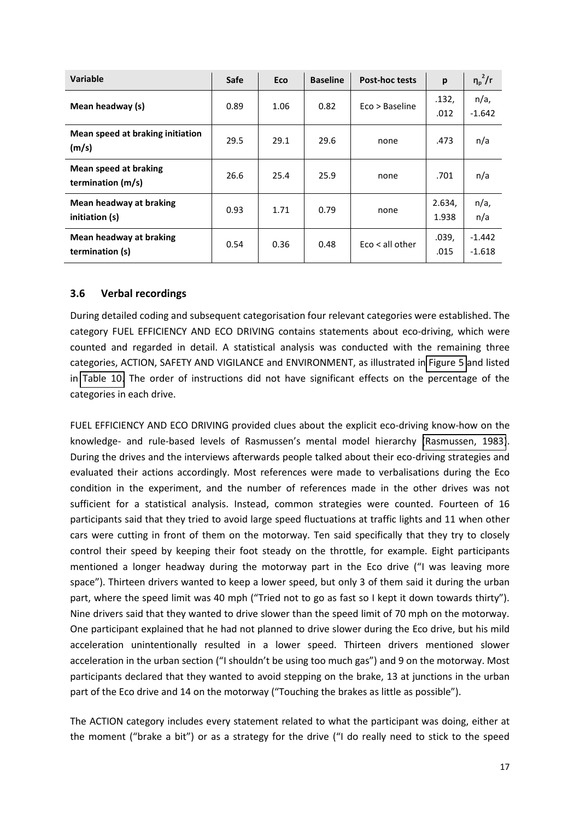| <b>Variable</b>                                   | <b>Safe</b> | <b>Eco</b> | <b>Baseline</b> | <b>Post-hoc tests</b> | p               | $\eta_p^2/r$         |
|---------------------------------------------------|-------------|------------|-----------------|-----------------------|-----------------|----------------------|
| Mean headway (s)                                  | 0.89        | 1.06       | 0.82            | Eco > Baseline        | .132.<br>.012   | $n/a$ ,<br>$-1.642$  |
| Mean speed at braking initiation<br>(m/s)         | 29.5        | 29.1       | 29.6            | none                  | .473            | n/a                  |
| <b>Mean speed at braking</b><br>termination (m/s) | 26.6        | 25.4       | 25.9            | none                  | .701            | n/a                  |
| Mean headway at braking<br>initiation (s)         | 0.93        | 1.71       | 0.79            | none                  | 2.634,<br>1.938 | $n/a$ ,<br>n/a       |
| Mean headway at braking<br>termination (s)        | 0.54        | 0.36       | 0.48            | $Eco$ < all other     | .039.<br>.015   | $-1.442$<br>$-1.618$ |

### **3.6 Verbal recordings**

During detailed coding and subsequent categorisation four relevant categories were established. The category FUEL EFFICIENCY AND ECO DRIVING contains statements about eco-driving, which were counted and regarded in detail. A statistical analysis was conducted with the remaining three categories, ACTION, SAFETY AND VIGILANCE and ENVIRONMENT, as illustrated in [Figure 5](#page-17-0) and listed in [Table 10.](#page-17-1) The order of instructions did not have significant effects on the percentage of the categories in each drive.

FUEL EFFICIENCY AND ECO DRIVING provided clues about the explicit eco-driving know-how on the knowledge- and rule-based levels of Rasmussen's mental model hierarchy [\(Rasmussen, 1983\)](#page-22-5). During the drives and the interviews afterwards people talked about their eco-driving strategies and evaluated their actions accordingly. Most references were made to verbalisations during the Eco condition in the experiment, and the number of references made in the other drives was not sufficient for a statistical analysis. Instead, common strategies were counted. Fourteen of 16 participants said that they tried to avoid large speed fluctuations at traffic lights and 11 when other cars were cutting in front of them on the motorway. Ten said specifically that they try to closely control their speed by keeping their foot steady on the throttle, for example. Eight participants mentioned a longer headway during the motorway part in the Eco drive ("I was leaving more space"). Thirteen drivers wanted to keep a lower speed, but only 3 of them said it during the urban part, where the speed limit was 40 mph ("Tried not to go as fast so I kept it down towards thirty"). Nine drivers said that they wanted to drive slower than the speed limit of 70 mph on the motorway. One participant explained that he had not planned to drive slower during the Eco drive, but his mild acceleration unintentionally resulted in a lower speed. Thirteen drivers mentioned slower acceleration in the urban section ("I shouldn't be using too much gas") and 9 on the motorway. Most participants declared that they wanted to avoid stepping on the brake, 13 at junctions in the urban part of the Eco drive and 14 on the motorway ("Touching the brakes as little as possible").

<span id="page-17-1"></span><span id="page-17-0"></span>The ACTION category includes every statement related to what the participant was doing, either at the moment ("brake a bit") or as a strategy for the drive ("I do really need to stick to the speed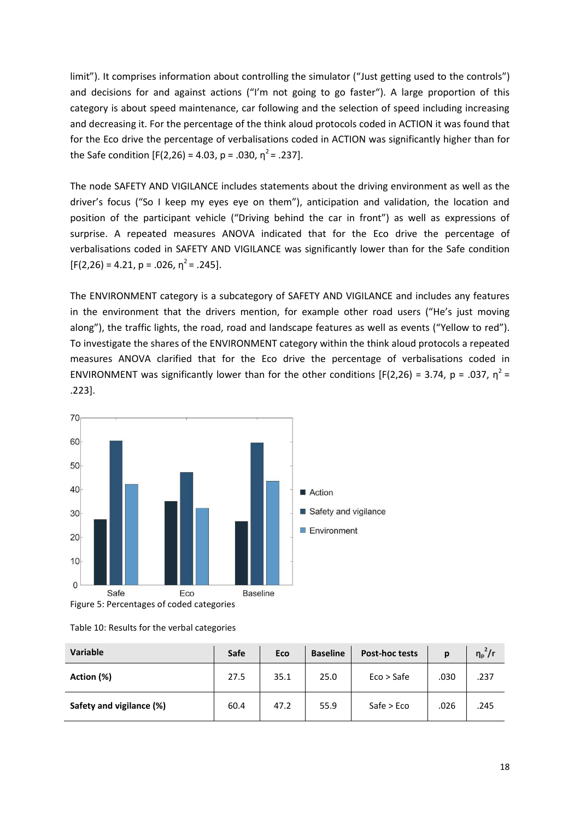limit"). It comprises information about controlling the simulator ("Just getting used to the controls") and decisions for and against actions ("I'm not going to go faster"). A large proportion of this category is about speed maintenance, car following and the selection of speed including increasing and decreasing it. For the percentage of the think aloud protocols coded in ACTION it was found that for the Eco drive the percentage of verbalisations coded in ACTION was significantly higher than for the Safe condition [F(2,26) = 4.03, p = .030,  $\eta^2$  = .237].

The node SAFETY AND VIGILANCE includes statements about the driving environment as well as the driver's focus ("So I keep my eyes eye on them"), anticipation and validation, the location and position of the participant vehicle ("Driving behind the car in front") as well as expressions of surprise. A repeated measures ANOVA indicated that for the Eco drive the percentage of verbalisations coded in SAFETY AND VIGILANCE was significantly lower than for the Safe condition  $[F(2,26) = 4.21, p = .026, \eta^2 = .245].$ 

The ENVIRONMENT category is a subcategory of SAFETY AND VIGILANCE and includes any features in the environment that the drivers mention, for example other road users ("He's just moving along"), the traffic lights, the road, road and landscape features as well as events ("Yellow to red"). To investigate the shares of the ENVIRONMENT category within the think aloud protocols a repeated measures ANOVA clarified that for the Eco drive the percentage of verbalisations coded in ENVIRONMENT was significantly lower than for the other conditions [F(2,26) = 3.74, p = .037,  $\eta^2$  = .223].



| Table 10: Results for the verbal categories |  |
|---------------------------------------------|--|
|---------------------------------------------|--|

| <b>Variable</b>          | Safe | Eco  | <b>Baseline</b> | <b>Post-hoc tests</b> | p    | $\eta_p^2/r$ |
|--------------------------|------|------|-----------------|-----------------------|------|--------------|
| Action (%)               | 27.5 | 35.1 | 25.0            | $Eco >$ Safe          | .030 | .237         |
| Safety and vigilance (%) | 60.4 | 47.2 | 55.9            | Safe > Eco            | .026 | .245         |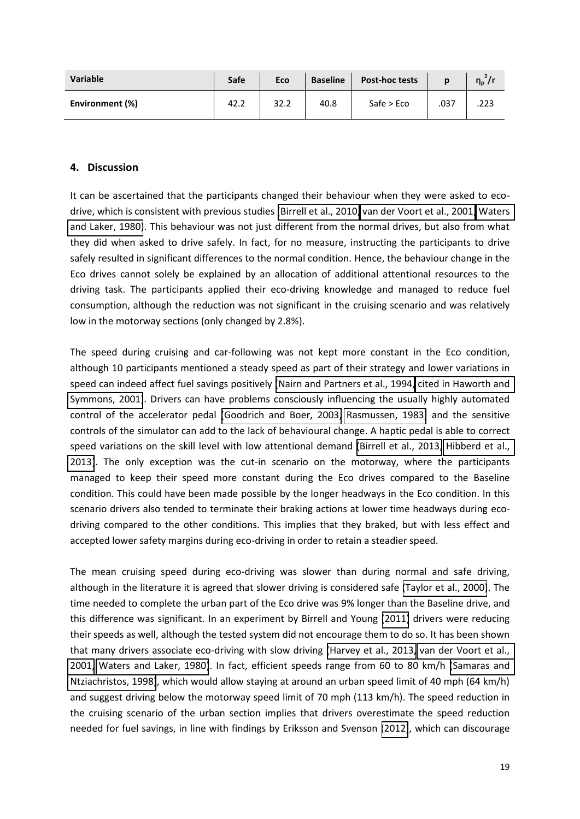| <b>Variable</b> | <b>Safe</b> | Eco  | <b>Baseline</b> | <b>Post-hoc tests</b> |      | $\eta_{\rm p}$ <sup>-</sup> / |
|-----------------|-------------|------|-----------------|-----------------------|------|-------------------------------|
| Environment (%) | 42.2        | 32.2 | 40.8            | Safe > Eco            | .037 | .223                          |

#### **4. Discussion**

It can be ascertained that the participants changed their behaviour when they were asked to ecodrive, which is consistent with previous studies [\(Birrell et al., 2010,](#page-20-8) [van der Voort et al., 2001,](#page-22-3) [Waters](#page-22-15)  [and Laker, 1980\)](#page-22-15). This behaviour was not just different from the normal drives, but also from what they did when asked to drive safely. In fact, for no measure, instructing the participants to drive safely resulted in significant differences to the normal condition. Hence, the behaviour change in the Eco drives cannot solely be explained by an allocation of additional attentional resources to the driving task. The participants applied their eco-driving knowledge and managed to reduce fuel consumption, although the reduction was not significant in the cruising scenario and was relatively low in the motorway sections (only changed by 2.8%).

The speed during cruising and car-following was not kept more constant in the Eco condition, although 10 participants mentioned a steady speed as part of their strategy and lower variations in speed can indeed affect fuel savings positively [\(Nairn and Partners et al., 1994,](#page-21-13) [cited in Haworth and](#page-21-14)  [Symmons, 2001\)](#page-21-14). Drivers can have problems consciously influencing the usually highly automated control of the accelerator pedal [\(Goodrich and Boer, 2003,](#page-21-8) [Rasmussen, 1983\)](#page-22-5) and the sensitive controls of the simulator can add to the lack of behavioural change. A haptic pedal is able to correct speed variations on the skill level with low attentional demand [\(Birrell et al., 2013,](#page-20-9) [Hibberd et al.,](#page-21-15)  [2013\)](#page-21-15). The only exception was the cut-in scenario on the motorway, where the participants managed to keep their speed more constant during the Eco drives compared to the Baseline condition. This could have been made possible by the longer headways in the Eco condition. In this scenario drivers also tended to terminate their braking actions at lower time headways during ecodriving compared to the other conditions. This implies that they braked, but with less effect and accepted lower safety margins during eco-driving in order to retain a steadier speed.

The mean cruising speed during eco-driving was slower than during normal and safe driving, although in the literature it is agreed that slower driving is considered safe [\(Taylor et al., 2000\)](#page-22-16). The time needed to complete the urban part of the Eco drive was 9% longer than the Baseline drive, and this difference was significant. In an experiment by Birrell and Young [\(2011\)](#page-20-10) drivers were reducing their speeds as well, although the tested system did not encourage them to do so. It has been shown that many drivers associate eco-driving with slow driving [\(Harvey et al., 2013,](#page-21-4) [van der Voort et al.,](#page-22-3)  [2001,](#page-22-3) [Waters and Laker, 1980\)](#page-22-15). In fact, efficient speeds range from 60 to 80 km/h [\(Samaras and](#page-22-17)  [Ntziachristos, 1998\)](#page-22-17), which would allow staying at around an urban speed limit of 40 mph (64 km/h) and suggest driving below the motorway speed limit of 70 mph (113 km/h). The speed reduction in the cruising scenario of the urban section implies that drivers overestimate the speed reduction needed for fuel savings, in line with findings by Eriksson and Svenson [\(2012\)](#page-20-11), which can discourage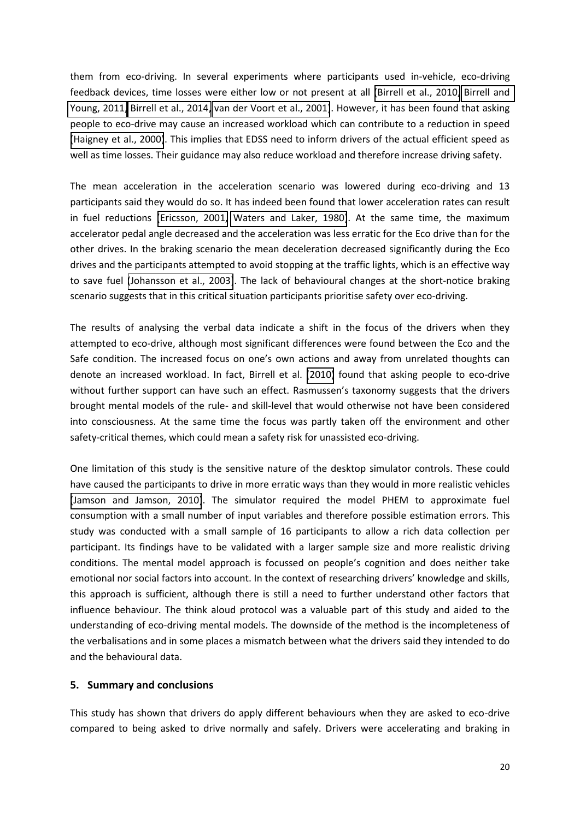them from eco-driving. In several experiments where participants used in-vehicle, eco-driving feedback devices, time losses were either low or not present at all [\(Birrell et al., 2010,](#page-20-8) [Birrell and](#page-20-10)  [Young, 2011,](#page-20-10) [Birrell et al., 2014,](#page-20-5) [van der Voort et al., 2001\)](#page-22-3). However, it has been found that asking people to eco-drive may cause an increased workload which can contribute to a reduction in speed [\(Haigney et al., 2000\)](#page-21-16). This implies that EDSS need to inform drivers of the actual efficient speed as well as time losses. Their guidance may also reduce workload and therefore increase driving safety.

The mean acceleration in the acceleration scenario was lowered during eco-driving and 13 participants said they would do so. It has indeed been found that lower acceleration rates can result in fuel reductions [\(Ericsson, 2001,](#page-20-12) [Waters and Laker, 1980\)](#page-22-15). At the same time, the maximum accelerator pedal angle decreased and the acceleration was less erratic for the Eco drive than for the other drives. In the braking scenario the mean deceleration decreased significantly during the Eco drives and the participants attempted to avoid stopping at the traffic lights, which is an effective way to save fuel [\(Johansson et al., 2003\)](#page-21-17). The lack of behavioural changes at the short-notice braking scenario suggests that in this critical situation participants prioritise safety over eco-driving.

<span id="page-20-3"></span><span id="page-20-2"></span><span id="page-20-0"></span>The results of analysing the verbal data indicate a shift in the focus of the drivers when they attempted to eco-drive, although most significant differences were found between the Eco and the Safe condition. The increased focus on one's own actions and away from unrelated thoughts can denote an increased workload. In fact, Birrell et al. [\(2010\)](#page-20-8) found that asking people to eco-drive without further support can have such an effect. Rasmussen's taxonomy suggests that the drivers brought mental models of the rule- and skill-level that would otherwise not have been considered into consciousness. At the same time the focus was partly taken off the environment and other safety-critical themes, which could mean a safety risk for unassisted eco-driving.

<span id="page-20-10"></span><span id="page-20-8"></span><span id="page-20-6"></span><span id="page-20-5"></span>One limitation of this study is the sensitive nature of the desktop simulator controls. These could have caused the participants to drive in more erratic ways than they would in more realistic vehicles [\(Jamson and Jamson, 2010\)](#page-21-18). The simulator required the model PHEM to approximate fuel consumption with a small number of input variables and therefore possible estimation errors. This study was conducted with a small sample of 16 participants to allow a rich data collection per participant. Its findings have to be validated with a larger sample size and more realistic driving conditions. The mental model approach is focussed on people's cognition and does neither take emotional nor social factors into account. In the context of researching drivers' knowledge and skills, this approach is sufficient, although there is still a need to further understand other factors that influence behaviour. The think aloud protocol was a valuable part of this study and aided to the understanding of eco-driving mental models. The downside of the method is the incompleteness of the verbalisations and in some places a mismatch between what the drivers said they intended to do and the behavioural data.

#### <span id="page-20-12"></span><span id="page-20-9"></span><span id="page-20-7"></span><span id="page-20-4"></span><span id="page-20-1"></span>**5. Summary and conclusions**

<span id="page-20-11"></span>This study has shown that drivers do apply different behaviours when they are asked to eco-drive compared to being asked to drive normally and safely. Drivers were accelerating and braking in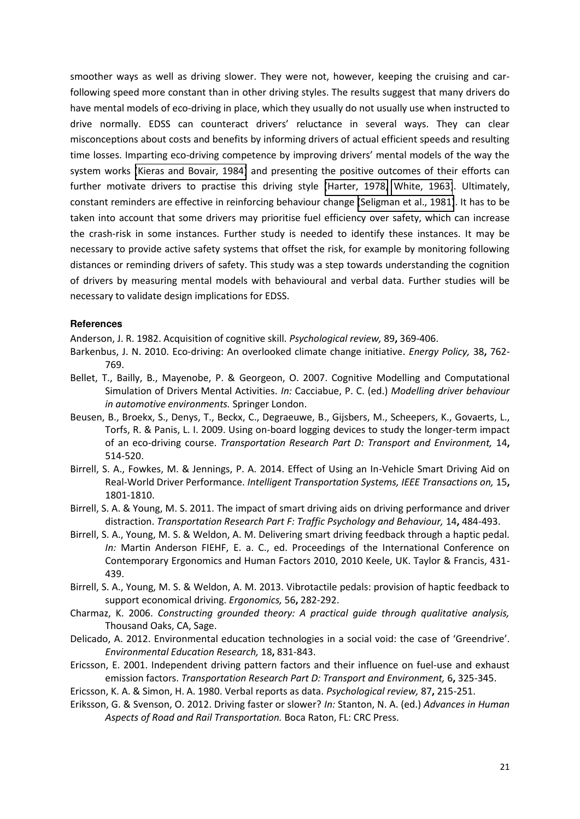<span id="page-21-16"></span><span id="page-21-12"></span><span id="page-21-8"></span><span id="page-21-0"></span>smoother ways as well as driving slower. They were not, however, keeping the cruising and carfollowing speed more constant than in other driving styles. The results suggest that many drivers do have mental models of eco-driving in place, which they usually do not usually use when instructed to drive normally. EDSS can counteract drivers' reluctance in several ways. They can clear misconceptions about costs and benefits by informing drivers of actual efficient speeds and resulting time losses. Imparting eco-driving competence by improving drivers' mental models of the way the system works [\(Kieras and Bovair, 1984\)](#page-21-19) and presenting the positive outcomes of their efforts can further motivate drivers to practise this driving style [\(Harter, 1978,](#page-21-20) [White, 1963\)](#page-22-18). Ultimately, constant reminders are effective in reinforcing behaviour change [\(Seligman et al., 1981\)](#page-22-19). It has to be taken into account that some drivers may prioritise fuel efficiency over safety, which can increase the crash-risk in some instances. Further study is needed to identify these instances. It may be necessary to provide active safety systems that offset the risk, for example by monitoring following distances or reminding drivers of safety. This study was a step towards understanding the cognition of drivers by measuring mental models with behavioural and verbal data. Further studies will be necessary to validate design implications for EDSS.

#### <span id="page-21-20"></span><span id="page-21-15"></span><span id="page-21-14"></span><span id="page-21-9"></span><span id="page-21-4"></span>**References**

Anderson, J. R. 1982. Acquisition of cognitive skill. *Psychological review,* 89**,** 369-406.

- Barkenbus, J. N. 2010. Eco-driving: An overlooked climate change initiative. *Energy Policy,* 38**,** 762- 769.
- <span id="page-21-2"></span>Bellet, T., Bailly, B., Mayenobe, P. & Georgeon, O. 2007. Cognitive Modelling and Computational Simulation of Drivers Mental Activities. *In:* Cacciabue, P. C. (ed.) *Modelling driver behaviour in automotive environments.* Springer London.
- <span id="page-21-18"></span><span id="page-21-17"></span>Beusen, B., Broekx, S., Denys, T., Beckx, C., Degraeuwe, B., Gijsbers, M., Scheepers, K., Govaerts, L., Torfs, R. & Panis, L. I. 2009. Using on-board logging devices to study the longer-term impact of an eco-driving course. *Transportation Research Part D: Transport and Environment,* 14**,** 514-520.
- <span id="page-21-6"></span>Birrell, S. A., Fowkes, M. & Jennings, P. A. 2014. Effect of Using an In-Vehicle Smart Driving Aid on Real-World Driver Performance. *Intelligent Transportation Systems, IEEE Transactions on,* 15**,** 1801-1810.
- <span id="page-21-19"></span>Birrell, S. A. & Young, M. S. 2011. The impact of smart driving aids on driving performance and driver distraction. *Transportation Research Part F: Traffic Psychology and Behaviour,* 14**,** 484-493.
- <span id="page-21-10"></span><span id="page-21-5"></span>Birrell, S. A., Young, M. S. & Weldon, A. M. Delivering smart driving feedback through a haptic pedal. *In:* Martin Anderson FIEHF, E. a. C., ed. Proceedings of the International Conference on Contemporary Ergonomics and Human Factors 2010, 2010 Keele, UK. Taylor & Francis, 431- 439.
- <span id="page-21-3"></span>Birrell, S. A., Young, M. S. & Weldon, A. M. 2013. Vibrotactile pedals: provision of haptic feedback to support economical driving. *Ergonomics,* 56**,** 282-292.
- Charmaz, K. 2006. *Constructing grounded theory: A practical guide through qualitative analysis,*  Thousand Oaks, CA, Sage.
- <span id="page-21-1"></span>Delicado, A. 2012. Environmental education technologies in a social void: the case of 'Greendrive'. *Environmental Education Research,* 18**,** 831-843.
- <span id="page-21-11"></span><span id="page-21-7"></span>Ericsson, E. 2001. Independent driving pattern factors and their influence on fuel-use and exhaust emission factors. *Transportation Research Part D: Transport and Environment,* 6**,** 325-345.
- Ericsson, K. A. & Simon, H. A. 1980. Verbal reports as data. *Psychological review,* 87**,** 215-251.
- <span id="page-21-13"></span>Eriksson, G. & Svenson, O. 2012. Driving faster or slower? *In:* Stanton, N. A. (ed.) *Advances in Human Aspects of Road and Rail Transportation.* Boca Raton, FL: CRC Press.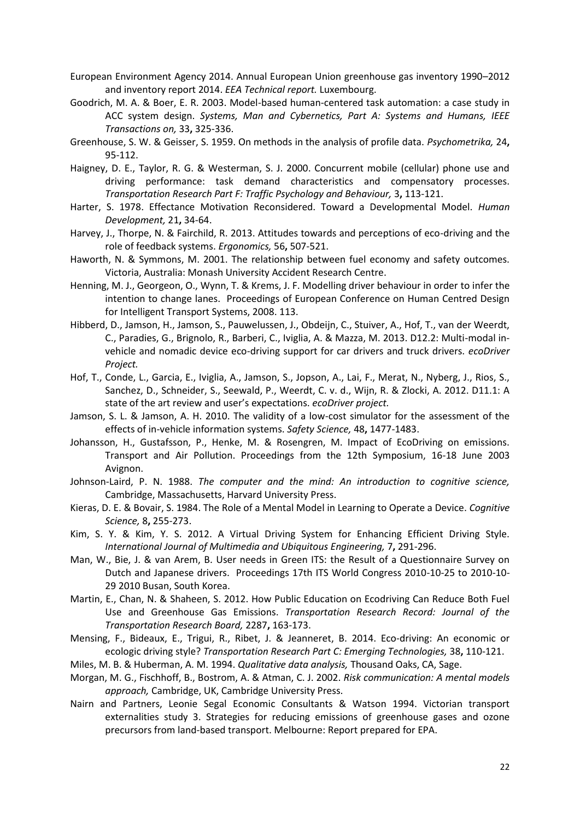- <span id="page-22-2"></span>European Environment Agency 2014. Annual European Union greenhouse gas inventory 1990–2012 and inventory report 2014. *EEA Technical report.* Luxembourg.
- <span id="page-22-8"></span>Goodrich, M. A. & Boer, E. R. 2003. Model-based human-centered task automation: a case study in ACC system design. *Systems, Man and Cybernetics, Part A: Systems and Humans, IEEE Transactions on,* 33**,** 325-336.
- <span id="page-22-5"></span>Greenhouse, S. W. & Geisser, S. 1959. On methods in the analysis of profile data. *Psychometrika,* 24**,** 95-112.
- Haigney, D. E., Taylor, R. G. & Westerman, S. J. 2000. Concurrent mobile (cellular) phone use and driving performance: task demand characteristics and compensatory processes. *Transportation Research Part F: Traffic Psychology and Behaviour,* 3**,** 113-121.
- <span id="page-22-13"></span>Harter, S. 1978. Effectance Motivation Reconsidered. Toward a Developmental Model. *Human Development,* 21**,** 34-64.
- <span id="page-22-12"></span>Harvey, J., Thorpe, N. & Fairchild, R. 2013. Attitudes towards and perceptions of eco-driving and the role of feedback systems. *Ergonomics,* 56**,** 507-521.
- <span id="page-22-17"></span>Haworth, N. & Symmons, M. 2001. The relationship between fuel economy and safety outcomes. Victoria, Australia: Monash University Accident Research Centre.
- Henning, M. J., Georgeon, O., Wynn, T. & Krems, J. F. Modelling driver behaviour in order to infer the intention to change lanes. Proceedings of European Conference on Human Centred Design for Intelligent Transport Systems, 2008. 113.
- <span id="page-22-19"></span><span id="page-22-4"></span>Hibberd, D., Jamson, H., Jamson, S., Pauwelussen, J., Obdeijn, C., Stuiver, A., Hof, T., van der Weerdt, C., Paradies, G., Brignolo, R., Barberi, C., Iviglia, A. & Mazza, M. 2013. D12.2: Multi-modal invehicle and nomadic device eco-driving support for car drivers and truck drivers. *ecoDriver Project.*
- <span id="page-22-11"></span>Hof, T., Conde, L., Garcia, E., Iviglia, A., Jamson, S., Jopson, A., Lai, F., Merat, N., Nyberg, J., Rios, S., Sanchez, D., Schneider, S., Seewald, P., Weerdt, C. v. d., Wijn, R. & Zlocki, A. 2012. D11.1: A state of the art review and user's expectations. *ecoDriver project.*
- <span id="page-22-0"></span>Jamson, S. L. & Jamson, A. H. 2010. The validity of a low-cost simulator for the assessment of the effects of in-vehicle information systems. *Safety Science,* 48**,** 1477-1483.
- <span id="page-22-10"></span>Johansson, H., Gustafsson, P., Henke, M. & Rosengren, M. Impact of EcoDriving on emissions. Transport and Air Pollution. Proceedings from the 12th Symposium, 16-18 June 2003 Avignon.
- <span id="page-22-16"></span>Johnson-Laird, P. N. 1988. *The computer and the mind: An introduction to cognitive science,* Cambridge, Massachusetts, Harvard University Press.
- <span id="page-22-1"></span>Kieras, D. E. & Bovair, S. 1984. The Role of a Mental Model in Learning to Operate a Device. *Cognitive Science,* 8**,** 255-273.
- <span id="page-22-3"></span>Kim, S. Y. & Kim, Y. S. 2012. A Virtual Driving System for Enhancing Efficient Driving Style. *International Journal of Multimedia and Ubiquitous Engineering,* 7**,** 291-296.
- <span id="page-22-7"></span>Man, W., Bie, J. & van Arem, B. User needs in Green ITS: the Result of a Questionnaire Survey on Dutch and Japanese drivers. Proceedings 17th ITS World Congress 2010-10-25 to 2010-10- 29 2010 Busan, South Korea.
- <span id="page-22-14"></span>Martin, E., Chan, N. & Shaheen, S. 2012. How Public Education on Ecodriving Can Reduce Both Fuel Use and Greenhouse Gas Emissions. *Transportation Research Record: Journal of the Transportation Research Board,* 2287**,** 163-173.
- <span id="page-22-9"></span><span id="page-22-6"></span>Mensing, F., Bideaux, E., Trigui, R., Ribet, J. & Jeanneret, B. 2014. Eco-driving: An economic or ecologic driving style? *Transportation Research Part C: Emerging Technologies,* 38**,** 110-121.
- Miles, M. B. & Huberman, A. M. 1994. *Qualitative data analysis,* Thousand Oaks, CA, Sage.
- <span id="page-22-15"></span>Morgan, M. G., Fischhoff, B., Bostrom, A. & Atman, C. J. 2002. *Risk communication: A mental models approach,* Cambridge, UK, Cambridge University Press.
- <span id="page-22-18"></span>Nairn and Partners, Leonie Segal Economic Consultants & Watson 1994. Victorian transport externalities study 3. Strategies for reducing emissions of greenhouse gases and ozone precursors from land-based transport. Melbourne: Report prepared for EPA.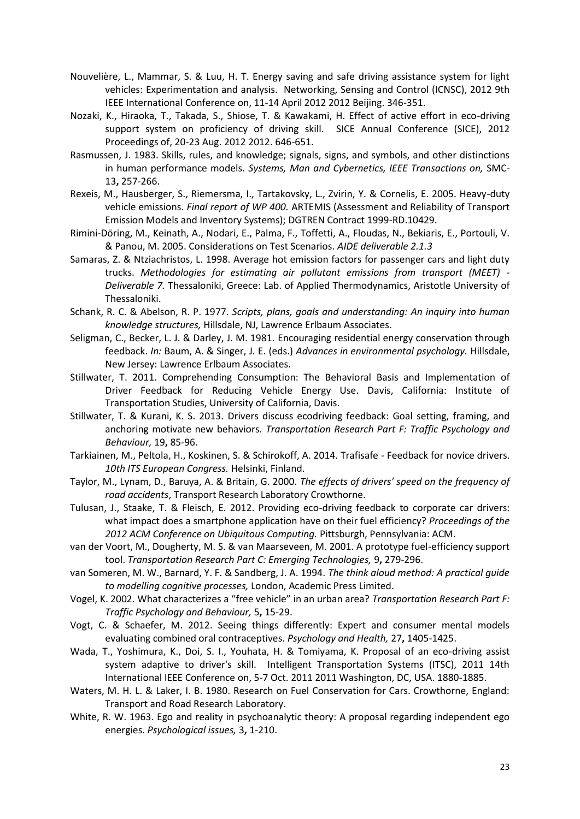- Nouvelière, L., Mammar, S. & Luu, H. T. Energy saving and safe driving assistance system for light vehicles: Experimentation and analysis. Networking, Sensing and Control (ICNSC), 2012 9th IEEE International Conference on, 11-14 April 2012 2012 Beijing. 346-351.
- Nozaki, K., Hiraoka, T., Takada, S., Shiose, T. & Kawakami, H. Effect of active effort in eco-driving support system on proficiency of driving skill. SICE Annual Conference (SICE), 2012 Proceedings of, 20-23 Aug. 2012 2012. 646-651.
- Rasmussen, J. 1983. Skills, rules, and knowledge; signals, signs, and symbols, and other distinctions in human performance models. *Systems, Man and Cybernetics, IEEE Transactions on,* SMC-13**,** 257-266.
- Rexeis, M., Hausberger, S., Riemersma, I., Tartakovsky, L., Zvirin, Y. & Cornelis, E. 2005. Heavy-duty vehicle emissions. *Final report of WP 400.* ARTEMIS (Assessment and Reliability of Transport Emission Models and Inventory Systems); DGTREN Contract 1999-RD.10429.
- Rimini-Döring, M., Keinath, A., Nodari, E., Palma, F., Toffetti, A., Floudas, N., Bekiaris, E., Portouli, V. & Panou, M. 2005. Considerations on Test Scenarios. *AIDE deliverable 2.1.3*
- Samaras, Z. & Ntziachristos, L. 1998. Average hot emission factors for passenger cars and light duty trucks. *Methodologies for estimating air pollutant emissions from transport (MEET) - Deliverable 7.* Thessaloniki, Greece: Lab. of Applied Thermodynamics, Aristotle University of Thessaloniki.
- Schank, R. C. & Abelson, R. P. 1977. *Scripts, plans, goals and understanding: An inquiry into human knowledge structures,* Hillsdale, NJ, Lawrence Erlbaum Associates.
- Seligman, C., Becker, L. J. & Darley, J. M. 1981. Encouraging residential energy conservation through feedback. *In:* Baum, A. & Singer, J. E. (eds.) *Advances in environmental psychology.* Hillsdale, New Jersey: Lawrence Erlbaum Associates.
- Stillwater, T. 2011. Comprehending Consumption: The Behavioral Basis and Implementation of Driver Feedback for Reducing Vehicle Energy Use. Davis, California: Institute of Transportation Studies, University of California, Davis.
- Stillwater, T. & Kurani, K. S. 2013. Drivers discuss ecodriving feedback: Goal setting, framing, and anchoring motivate new behaviors. *Transportation Research Part F: Traffic Psychology and Behaviour,* 19**,** 85-96.
- Tarkiainen, M., Peltola, H., Koskinen, S. & Schirokoff, A. 2014. Trafisafe Feedback for novice drivers. *10th ITS European Congress.* Helsinki, Finland.
- Taylor, M., Lynam, D., Baruya, A. & Britain, G. 2000. *The effects of drivers' speed on the frequency of road accidents*, Transport Research Laboratory Crowthorne.
- Tulusan, J., Staake, T. & Fleisch, E. 2012. Providing eco-driving feedback to corporate car drivers: what impact does a smartphone application have on their fuel efficiency? *Proceedings of the 2012 ACM Conference on Ubiquitous Computing.* Pittsburgh, Pennsylvania: ACM.
- van der Voort, M., Dougherty, M. S. & van Maarseveen, M. 2001. A prototype fuel-efficiency support tool. *Transportation Research Part C: Emerging Technologies,* 9**,** 279-296.
- van Someren, M. W., Barnard, Y. F. & Sandberg, J. A. 1994. *The think aloud method: A practical guide to modelling cognitive processes,* London, Academic Press Limited.
- Vogel, K. 2002. What characterizes a "free vehicle" in an urban area? Transportation Research Part F: *Traffic Psychology and Behaviour,* 5**,** 15-29.
- Vogt, C. & Schaefer, M. 2012. Seeing things differently: Expert and consumer mental models evaluating combined oral contraceptives. *Psychology and Health,* 27**,** 1405-1425.
- Wada, T., Yoshimura, K., Doi, S. I., Youhata, H. & Tomiyama, K. Proposal of an eco-driving assist system adaptive to driver's skill. Intelligent Transportation Systems (ITSC), 2011 14th International IEEE Conference on, 5-7 Oct. 2011 2011 Washington, DC, USA. 1880-1885.
- Waters, M. H. L. & Laker, I. B. 1980. Research on Fuel Conservation for Cars. Crowthorne, England: Transport and Road Research Laboratory.
- White, R. W. 1963. Ego and reality in psychoanalytic theory: A proposal regarding independent ego energies. *Psychological issues,* 3**,** 1-210.